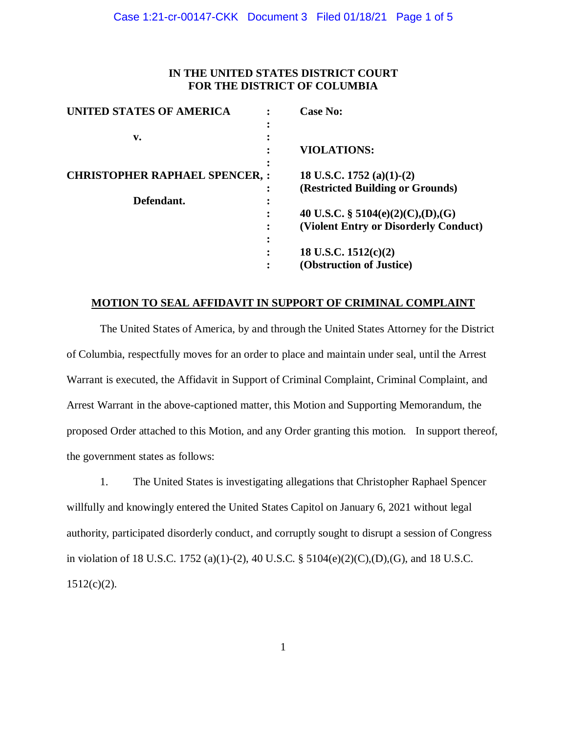# **IN THE UNITED STATES DISTRICT COURT FOR THE DISTRICT OF COLUMBIA**

| <b>UNITED STATES OF AMERICA</b>       | <b>Case No:</b>                       |
|---------------------------------------|---------------------------------------|
|                                       |                                       |
| v.                                    |                                       |
|                                       | <b>VIOLATIONS:</b>                    |
| <b>CHRISTOPHER RAPHAEL SPENCER, :</b> | 18 U.S.C. 1752 (a)(1)-(2)             |
|                                       | (Restricted Building or Grounds)      |
| Defendant.                            |                                       |
|                                       | 40 U.S.C. § 5104(e)(2)(C),(D),(G)     |
|                                       | (Violent Entry or Disorderly Conduct) |
|                                       |                                       |
|                                       | 18 U.S.C. $1512(c)(2)$                |
|                                       | (Obstruction of Justice)              |

### **MOTION TO SEAL AFFIDAVIT IN SUPPORT OF CRIMINAL COMPLAINT**

The United States of America, by and through the United States Attorney for the District of Columbia, respectfully moves for an order to place and maintain under seal, until the Arrest Warrant is executed, the Affidavit in Support of Criminal Complaint, Criminal Complaint, and Arrest Warrant in the above-captioned matter, this Motion and Supporting Memorandum, the proposed Order attached to this Motion, and any Order granting this motion. In support thereof, the government states as follows:

1. The United States is investigating allegations that Christopher Raphael Spencer willfully and knowingly entered the United States Capitol on January 6, 2021 without legal authority, participated disorderly conduct, and corruptly sought to disrupt a session of Congress in violation of 18 U.S.C. 1752 (a)(1)-(2), 40 U.S.C. § 5104(e)(2)(C),(D),(G), and 18 U.S.C.  $1512(c)(2)$ .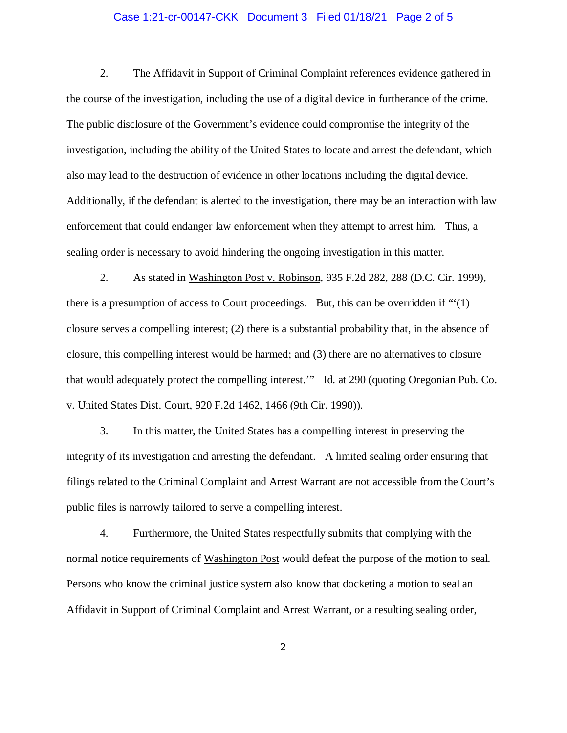### Case 1:21-cr-00147-CKK Document 3 Filed 01/18/21 Page 2 of 5

2. The Affidavit in Support of Criminal Complaint references evidence gathered in the course of the investigation, including the use of a digital device in furtherance of the crime. The public disclosure of the Government's evidence could compromise the integrity of the investigation, including the ability of the United States to locate and arrest the defendant, which also may lead to the destruction of evidence in other locations including the digital device. Additionally, if the defendant is alerted to the investigation, there may be an interaction with law enforcement that could endanger law enforcement when they attempt to arrest him. Thus, a sealing order is necessary to avoid hindering the ongoing investigation in this matter.

2. As stated in Washington Post v. Robinson, 935 F.2d 282, 288 (D.C. Cir. 1999), there is a presumption of access to Court proceedings. But, this can be overridden if "'(1) closure serves a compelling interest; (2) there is a substantial probability that, in the absence of closure, this compelling interest would be harmed; and (3) there are no alternatives to closure that would adequately protect the compelling interest.'" Id. at 290 (quoting Oregonian Pub. Co. v. United States Dist. Court, 920 F.2d 1462, 1466 (9th Cir. 1990)).

3. In this matter, the United States has a compelling interest in preserving the integrity of its investigation and arresting the defendant. A limited sealing order ensuring that filings related to the Criminal Complaint and Arrest Warrant are not accessible from the Court's public files is narrowly tailored to serve a compelling interest.

4. Furthermore, the United States respectfully submits that complying with the normal notice requirements of Washington Post would defeat the purpose of the motion to seal. Persons who know the criminal justice system also know that docketing a motion to seal an Affidavit in Support of Criminal Complaint and Arrest Warrant, or a resulting sealing order,

2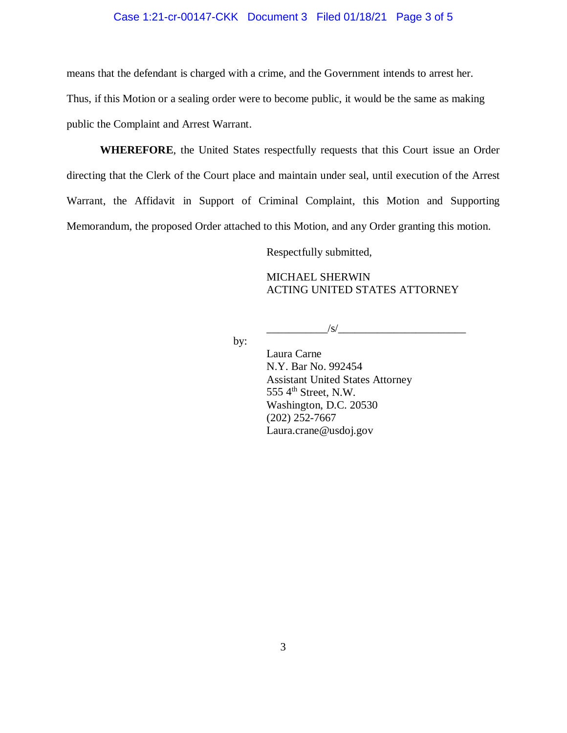### Case 1:21-cr-00147-CKK Document 3 Filed 01/18/21 Page 3 of 5

means that the defendant is charged with a crime, and the Government intends to arrest her.

Thus, if this Motion or a sealing order were to become public, it would be the same as making

public the Complaint and Arrest Warrant.

**WHEREFORE**, the United States respectfully requests that this Court issue an Order directing that the Clerk of the Court place and maintain under seal, until execution of the Arrest Warrant, the Affidavit in Support of Criminal Complaint, this Motion and Supporting Memorandum, the proposed Order attached to this Motion, and any Order granting this motion.

Respectfully submitted,

MICHAEL SHERWIN ACTING UNITED STATES ATTORNEY

 $\sqrt{s}$ /

by:

Laura Carne N.Y. Bar No. 992454 Assistant United States Attorney 555 4<sup>th</sup> Street, N.W. Washington, D.C. 20530 (202) 252-7667 Laura.crane@usdoj.gov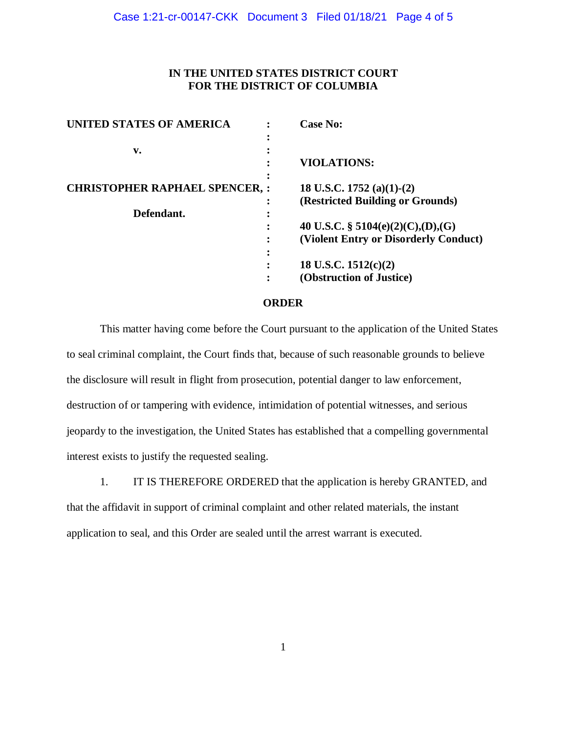# **IN THE UNITED STATES DISTRICT COURT FOR THE DISTRICT OF COLUMBIA**

| <b>UNITED STATES OF AMERICA</b>      | <b>Case No:</b>                       |
|--------------------------------------|---------------------------------------|
|                                      |                                       |
| v.                                   |                                       |
|                                      | <b>VIOLATIONS:</b>                    |
| <b>CHRISTOPHER RAPHAEL SPENCER,:</b> | 18 U.S.C. 1752 (a)(1)-(2)             |
|                                      | (Restricted Building or Grounds)      |
| Defendant.                           |                                       |
|                                      | 40 U.S.C. § 5104(e)(2)(C),(D),(G)     |
|                                      | (Violent Entry or Disorderly Conduct) |
|                                      |                                       |
|                                      | 18 U.S.C. $1512(c)(2)$                |
|                                      | (Obstruction of Justice)              |

#### **ORDER**

This matter having come before the Court pursuant to the application of the United States to seal criminal complaint, the Court finds that, because of such reasonable grounds to believe the disclosure will result in flight from prosecution, potential danger to law enforcement, destruction of or tampering with evidence, intimidation of potential witnesses, and serious jeopardy to the investigation, the United States has established that a compelling governmental interest exists to justify the requested sealing.

1. IT IS THEREFORE ORDERED that the application is hereby GRANTED, and that the affidavit in support of criminal complaint and other related materials, the instant application to seal, and this Order are sealed until the arrest warrant is executed.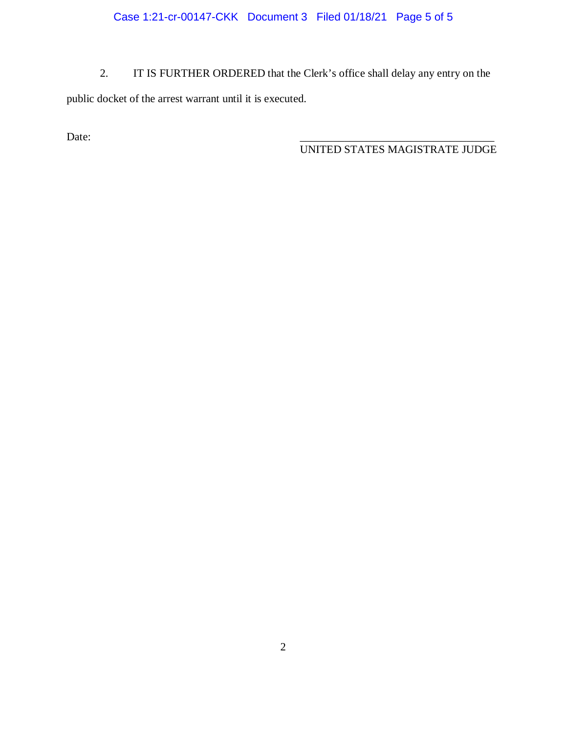Case 1:21-cr-00147-CKK Document 3 Filed 01/18/21 Page 5 of 5

2. IT IS FURTHER ORDERED that the Clerk's office shall delay any entry on the public docket of the arrest warrant until it is executed.

Date:

UNITED STATES MAGISTRATE JUDGE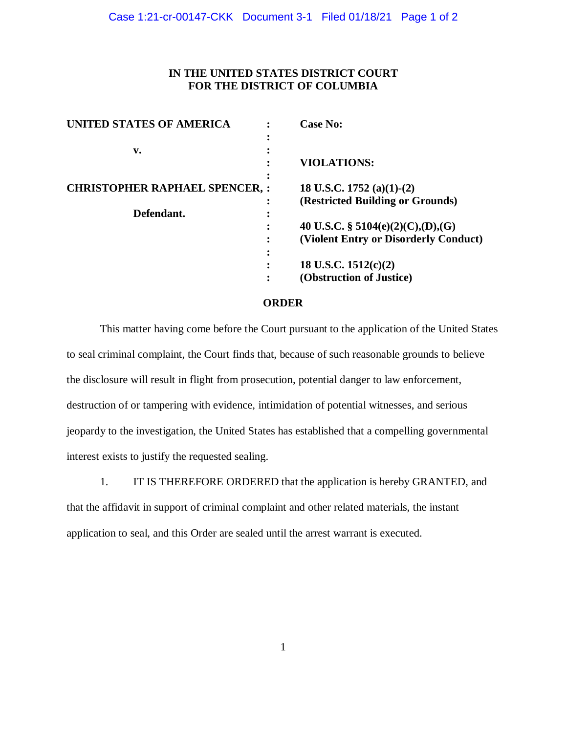# **IN THE UNITED STATES DISTRICT COURT FOR THE DISTRICT OF COLUMBIA**

| <b>UNITED STATES OF AMERICA</b>      | <b>Case No:</b>                       |
|--------------------------------------|---------------------------------------|
| v.                                   |                                       |
|                                      | <b>VIOLATIONS:</b>                    |
| <b>CHRISTOPHER RAPHAEL SPENCER,:</b> | 18 U.S.C. 1752 (a)(1)-(2)             |
|                                      | (Restricted Building or Grounds)      |
| Defendant.                           |                                       |
|                                      | 40 U.S.C. § 5104(e)(2)(C),(D),(G)     |
|                                      | (Violent Entry or Disorderly Conduct) |
|                                      |                                       |
|                                      | 18 U.S.C. $1512(c)(2)$                |
|                                      | (Obstruction of Justice)              |

#### **ORDER**

This matter having come before the Court pursuant to the application of the United States to seal criminal complaint, the Court finds that, because of such reasonable grounds to believe the disclosure will result in flight from prosecution, potential danger to law enforcement, destruction of or tampering with evidence, intimidation of potential witnesses, and serious jeopardy to the investigation, the United States has established that a compelling governmental interest exists to justify the requested sealing.

1. IT IS THEREFORE ORDERED that the application is hereby GRANTED, and that the affidavit in support of criminal complaint and other related materials, the instant application to seal, and this Order are sealed until the arrest warrant is executed.